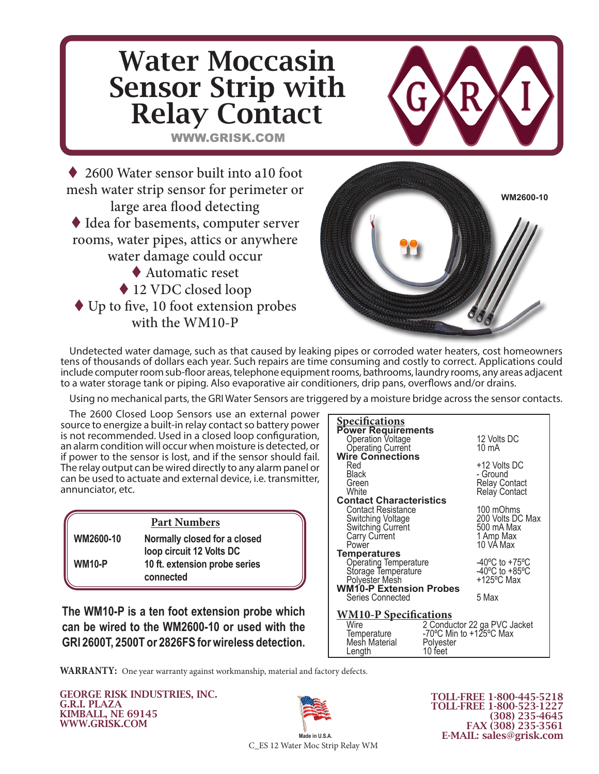

Undetected water damage, such as that caused by leaking pipes or corroded water heaters, cost homeowners tens of thousands of dollars each year. Such repairs are time consuming and costly to correct. Applications could include computer room sub-floor areas, telephone equipment rooms, bathrooms, laundry rooms, any areas adjacent to a water storage tank or piping. Also evaporative air conditioners, drip pans, overflows and/or drains.

Using no mechanical parts, the GRI Water Sensors are triggered by a moisture bridge across the sensor contacts.

The 2600 Closed Loop Sensors use an external power source to energize a built-in relay contact so battery power is not recommended. Used in a closed loop configuration, an alarm condition will occur when moisture is detected, or if power to the sensor is lost, and if the sensor should fail. The relay output can be wired directly to any alarm panel or can be used to actuate and external device, i.e. transmitter, annunciator, etc.

#### **Part Numbers WM2600-10 Normally closed for a closed loop circuit 12 Volts DC WM10-P 10 ft. extension probe series connected**

**The WM10-P is a ten foot extension probe which can be wired to the WM2600-10 or used with the GRI 2600T, 2500T or 2826FS for wireless detection.** 



**WARRANTY:** One year warranty against workmanship, material and factory defects.

GEORGE RISK INDUSTRIES, INC. G.R.I. PLAZA KIMBALL, NE 69145 WWW.GRISK.COM



TOLL-FREE 1-800-445-5218 TOLL-FREE 1-800-523-1227 (308) 235-4645 FAX (308) 235-3561 E-MAIL: sales@grisk.com

C\_ES 12 Water Moc Strip Relay WM